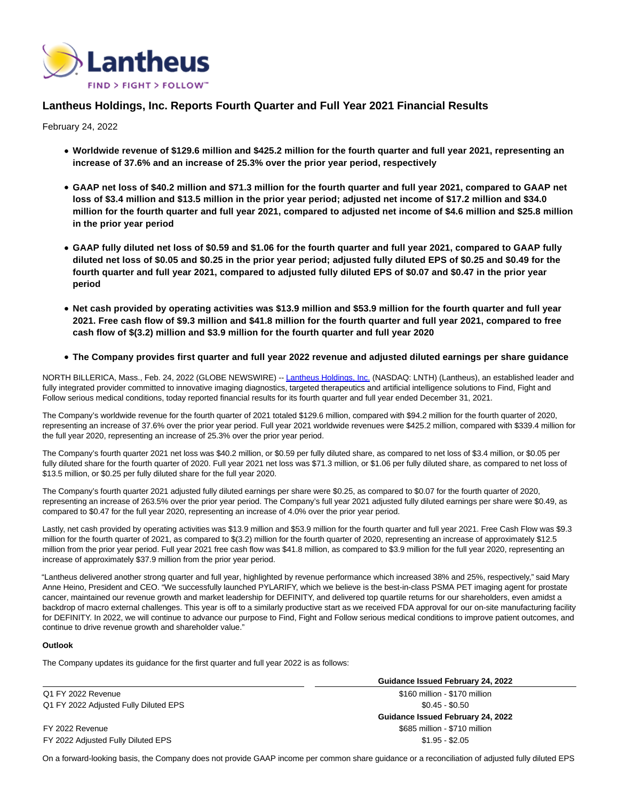

## **Lantheus Holdings, Inc. Reports Fourth Quarter and Full Year 2021 Financial Results**

February 24, 2022

- **Worldwide revenue of \$129.6 million and \$425.2 million for the fourth quarter and full year 2021, representing an increase of 37.6% and an increase of 25.3% over the prior year period, respectively**
- **GAAP net loss of \$40.2 million and \$71.3 million for the fourth quarter and full year 2021, compared to GAAP net loss of \$3.4 million and \$13.5 million in the prior year period; adjusted net income of \$17.2 million and \$34.0 million for the fourth quarter and full year 2021, compared to adjusted net income of \$4.6 million and \$25.8 million in the prior year period**
- **GAAP fully diluted net loss of \$0.59 and \$1.06 for the fourth quarter and full year 2021, compared to GAAP fully diluted net loss of \$0.05 and \$0.25 in the prior year period; adjusted fully diluted EPS of \$0.25 and \$0.49 for the fourth quarter and full year 2021, compared to adjusted fully diluted EPS of \$0.07 and \$0.47 in the prior year period**
- **Net cash provided by operating activities was \$13.9 million and \$53.9 million for the fourth quarter and full year 2021. Free cash flow of \$9.3 million and \$41.8 million for the fourth quarter and full year 2021, compared to free cash flow of \$(3.2) million and \$3.9 million for the fourth quarter and full year 2020**
- **The Company provides first quarter and full year 2022 revenue and adjusted diluted earnings per share guidance**

NORTH BILLERICA, Mass., Feb. 24, 2022 (GLOBE NEWSWIRE) -[- Lantheus Holdings, Inc. \(](https://www.globenewswire.com/Tracker?data=6l8WCe0MWQX5-2fB4RZkSgrs0jbMTuuQHwEf0PZupNqRaZeDtuhN0qmlASACth59HesFRa2GH4aIJS-YOiDYTPG4lURPks1Y0TvcGlrLuQA=)NASDAQ: LNTH) (Lantheus), an established leader and fully integrated provider committed to innovative imaging diagnostics, targeted therapeutics and artificial intelligence solutions to Find, Fight and Follow serious medical conditions, today reported financial results for its fourth quarter and full year ended December 31, 2021.

The Company's worldwide revenue for the fourth quarter of 2021 totaled \$129.6 million, compared with \$94.2 million for the fourth quarter of 2020, representing an increase of 37.6% over the prior year period. Full year 2021 worldwide revenues were \$425.2 million, compared with \$339.4 million for the full year 2020, representing an increase of 25.3% over the prior year period.

The Company's fourth quarter 2021 net loss was \$40.2 million, or \$0.59 per fully diluted share, as compared to net loss of \$3.4 million, or \$0.05 per fully diluted share for the fourth quarter of 2020. Full year 2021 net loss was \$71.3 million, or \$1.06 per fully diluted share, as compared to net loss of \$13.5 million, or \$0.25 per fully diluted share for the full year 2020.

The Company's fourth quarter 2021 adjusted fully diluted earnings per share were \$0.25, as compared to \$0.07 for the fourth quarter of 2020, representing an increase of 263.5% over the prior year period. The Company's full year 2021 adjusted fully diluted earnings per share were \$0.49, as compared to \$0.47 for the full year 2020, representing an increase of 4.0% over the prior year period.

Lastly, net cash provided by operating activities was \$13.9 million and \$53.9 million for the fourth quarter and full year 2021. Free Cash Flow was \$9.3 million for the fourth quarter of 2021, as compared to \$(3.2) million for the fourth quarter of 2020, representing an increase of approximately \$12.5 million from the prior year period. Full year 2021 free cash flow was \$41.8 million, as compared to \$3.9 million for the full year 2020, representing an increase of approximately \$37.9 million from the prior year period.

"Lantheus delivered another strong quarter and full year, highlighted by revenue performance which increased 38% and 25%, respectively," said Mary Anne Heino, President and CEO. "We successfully launched PYLARIFY, which we believe is the best-in-class PSMA PET imaging agent for prostate cancer, maintained our revenue growth and market leadership for DEFINITY, and delivered top quartile returns for our shareholders, even amidst a backdrop of macro external challenges. This year is off to a similarly productive start as we received FDA approval for our on-site manufacturing facility for DEFINITY. In 2022, we will continue to advance our purpose to Find, Fight and Follow serious medical conditions to improve patient outcomes, and continue to drive revenue growth and shareholder value."

### **Outlook**

The Company updates its guidance for the first quarter and full year 2022 is as follows:

|                                       | Guidance Issued February 24, 2022 |
|---------------------------------------|-----------------------------------|
| Q1 FY 2022 Revenue                    | \$160 million - \$170 million     |
| Q1 FY 2022 Adjusted Fully Diluted EPS | $$0.45 - $0.50$                   |
|                                       | Guidance Issued February 24, 2022 |
| FY 2022 Revenue                       | \$685 million - \$710 million     |
| FY 2022 Adjusted Fully Diluted EPS    | $$1.95 - $2.05$                   |

On a forward-looking basis, the Company does not provide GAAP income per common share guidance or a reconciliation of adjusted fully diluted EPS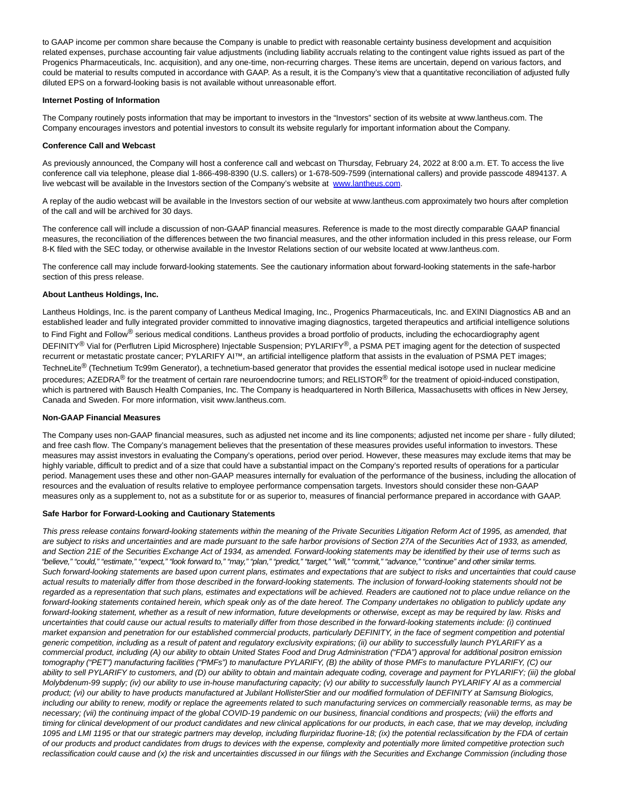to GAAP income per common share because the Company is unable to predict with reasonable certainty business development and acquisition related expenses, purchase accounting fair value adjustments (including liability accruals relating to the contingent value rights issued as part of the Progenics Pharmaceuticals, Inc. acquisition), and any one-time, non-recurring charges. These items are uncertain, depend on various factors, and could be material to results computed in accordance with GAAP. As a result, it is the Company's view that a quantitative reconciliation of adjusted fully diluted EPS on a forward-looking basis is not available without unreasonable effort.

### **Internet Posting of Information**

The Company routinely posts information that may be important to investors in the "Investors" section of its website at www.lantheus.com. The Company encourages investors and potential investors to consult its website regularly for important information about the Company.

#### **Conference Call and Webcast**

As previously announced, the Company will host a conference call and webcast on Thursday, February 24, 2022 at 8:00 a.m. ET. To access the live conference call via telephone, please dial 1-866-498-8390 (U.S. callers) or 1-678-509-7599 (international callers) and provide passcode 4894137. A live webcast will be available in the Investors section of the Company's website at [www.lantheus.com.](https://www.globenewswire.com/Tracker?data=lb02BTwtQ1seObqlMXuB9HzQoVyAl2XQvdnelb-xFcKEIbqlGyyTPJ3vpeV9cg7om1_ALFMj8erSUABJ3AZRMQ==)

A replay of the audio webcast will be available in the Investors section of our website at www.lantheus.com approximately two hours after completion of the call and will be archived for 30 days.

The conference call will include a discussion of non-GAAP financial measures. Reference is made to the most directly comparable GAAP financial measures, the reconciliation of the differences between the two financial measures, and the other information included in this press release, our Form 8-K filed with the SEC today, or otherwise available in the Investor Relations section of our website located at www.lantheus.com.

The conference call may include forward-looking statements. See the cautionary information about forward-looking statements in the safe-harbor section of this press release.

### **About Lantheus Holdings, Inc.**

Lantheus Holdings, Inc. is the parent company of Lantheus Medical Imaging, Inc., Progenics Pharmaceuticals, Inc. and EXINI Diagnostics AB and an established leader and fully integrated provider committed to innovative imaging diagnostics, targeted therapeutics and artificial intelligence solutions to Find Fight and Follow<sup>®</sup> serious medical conditions. Lantheus provides a broad portfolio of products, including the echocardiography agent DEFINITY<sup>®</sup> Vial for (Perflutren Lipid Microsphere) Injectable Suspension; PYLARIFY<sup>®</sup>, a PSMA PET imaging agent for the detection of suspected recurrent or metastatic prostate cancer; PYLARIFY AI™, an artificial intelligence platform that assists in the evaluation of PSMA PET images; TechneLite® (Technetium Tc99m Generator), a technetium-based generator that provides the essential medical isotope used in nuclear medicine procedures; AZEDRA<sup>®</sup> for the treatment of certain rare neuroendocrine tumors; and RELISTOR<sup>®</sup> for the treatment of opioid-induced constipation, which is partnered with Bausch Health Companies, Inc. The Company is headquartered in North Billerica, Massachusetts with offices in New Jersey, Canada and Sweden. For more information, visit www.lantheus.com.

### **Non-GAAP Financial Measures**

The Company uses non-GAAP financial measures, such as adjusted net income and its line components; adjusted net income per share - fully diluted; and free cash flow. The Company's management believes that the presentation of these measures provides useful information to investors. These measures may assist investors in evaluating the Company's operations, period over period. However, these measures may exclude items that may be highly variable, difficult to predict and of a size that could have a substantial impact on the Company's reported results of operations for a particular period. Management uses these and other non-GAAP measures internally for evaluation of the performance of the business, including the allocation of resources and the evaluation of results relative to employee performance compensation targets. Investors should consider these non-GAAP measures only as a supplement to, not as a substitute for or as superior to, measures of financial performance prepared in accordance with GAAP.

#### **Safe Harbor for Forward-Looking and Cautionary Statements**

This press release contains forward-looking statements within the meaning of the Private Securities Litigation Reform Act of 1995, as amended, that are subject to risks and uncertainties and are made pursuant to the safe harbor provisions of Section 27A of the Securities Act of 1933, as amended, and Section 21E of the Securities Exchange Act of 1934, as amended. Forward-looking statements may be identified by their use of terms such as "believe," "could," "estimate," "expect," "look forward to," "may," "plan," "predict," "target," "will," "commit," "advance," "continue" and other similar terms. Such forward-looking statements are based upon current plans, estimates and expectations that are subject to risks and uncertainties that could cause actual results to materially differ from those described in the forward-looking statements. The inclusion of forward-looking statements should not be regarded as a representation that such plans, estimates and expectations will be achieved. Readers are cautioned not to place undue reliance on the forward-looking statements contained herein, which speak only as of the date hereof. The Company undertakes no obligation to publicly update any forward-looking statement, whether as a result of new information, future developments or otherwise, except as may be required by law. Risks and uncertainties that could cause our actual results to materially differ from those described in the forward-looking statements include: (i) continued market expansion and penetration for our established commercial products, particularly DEFINITY, in the face of segment competition and potential generic competition, including as a result of patent and regulatory exclusivity expirations; (ii) our ability to successfully launch PYLARIFY as a commercial product, including (A) our ability to obtain United States Food and Drug Administration ("FDA") approval for additional positron emission tomography ("PET") manufacturing facilities ("PMFs") to manufacture PYLARIFY, (B) the ability of those PMFs to manufacture PYLARIFY, (C) our ability to sell PYLARIFY to customers, and (D) our ability to obtain and maintain adequate coding, coverage and payment for PYLARIFY; (iii) the global Molybdenum-99 supply; (iv) our ability to use in-house manufacturing capacity; (v) our ability to successfully launch PYLARIFY AI as a commercial product; (vi) our ability to have products manufactured at Jubilant HollisterStier and our modified formulation of DEFINITY at Samsung Biologics, including our ability to renew, modify or replace the agreements related to such manufacturing services on commercially reasonable terms, as may be necessary; (vii) the continuing impact of the global COVID-19 pandemic on our business, financial conditions and prospects; (viii) the efforts and timing for clinical development of our product candidates and new clinical applications for our products, in each case, that we may develop, including 1095 and LMI 1195 or that our strategic partners may develop, including flurpiridaz fluorine-18; (ix) the potential reclassification by the FDA of certain of our products and product candidates from drugs to devices with the expense, complexity and potentially more limited competitive protection such reclassification could cause and (x) the risk and uncertainties discussed in our filings with the Securities and Exchange Commission (including those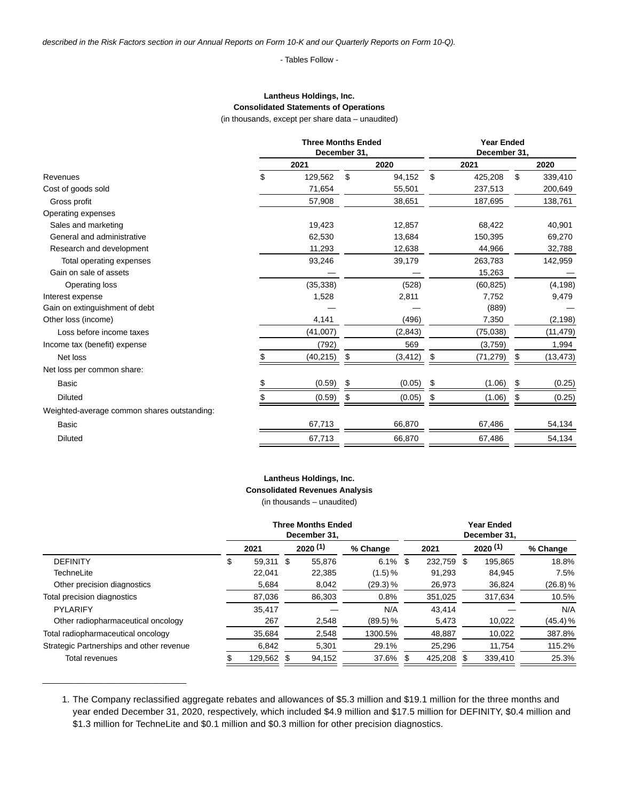described in the Risk Factors section in our Annual Reports on Form 10-K and our Quarterly Reports on Form 10-Q).

- Tables Follow -

## **Lantheus Holdings, Inc. Consolidated Statements of Operations**

(in thousands, except per share data – unaudited)

|                                             | <b>Three Months Ended</b><br>December 31, |           |    |          |    | <b>Year Ended</b><br>December 31, |    |           |  |  |
|---------------------------------------------|-------------------------------------------|-----------|----|----------|----|-----------------------------------|----|-----------|--|--|
|                                             |                                           | 2021      |    | 2020     |    | 2021                              |    | 2020      |  |  |
| Revenues                                    | \$                                        | 129,562   | \$ | 94,152   | \$ | 425,208                           | \$ | 339,410   |  |  |
| Cost of goods sold                          |                                           | 71,654    |    | 55,501   |    | 237,513                           |    | 200,649   |  |  |
| Gross profit                                |                                           | 57,908    |    | 38,651   |    | 187,695                           |    | 138,761   |  |  |
| Operating expenses                          |                                           |           |    |          |    |                                   |    |           |  |  |
| Sales and marketing                         |                                           | 19,423    |    | 12,857   |    | 68,422                            |    | 40,901    |  |  |
| General and administrative                  |                                           | 62,530    |    | 13,684   |    | 150,395                           |    | 69,270    |  |  |
| Research and development                    |                                           | 11,293    |    | 12,638   |    | 44,966                            |    | 32,788    |  |  |
| Total operating expenses                    |                                           | 93,246    |    | 39,179   |    | 263,783                           |    | 142,959   |  |  |
| Gain on sale of assets                      |                                           |           |    |          |    | 15,263                            |    |           |  |  |
| Operating loss                              |                                           | (35, 338) |    | (528)    |    | (60, 825)                         |    | (4, 198)  |  |  |
| Interest expense                            |                                           | 1,528     |    | 2,811    |    | 7,752                             |    | 9,479     |  |  |
| Gain on extinguishment of debt              |                                           |           |    |          |    | (889)                             |    |           |  |  |
| Other loss (income)                         |                                           | 4,141     |    | (496)    |    | 7,350                             |    | (2, 198)  |  |  |
| Loss before income taxes                    |                                           | (41,007)  |    | (2,843)  |    | (75, 038)                         |    | (11, 479) |  |  |
| Income tax (benefit) expense                |                                           | (792)     |    | 569      |    | (3,759)                           |    | 1,994     |  |  |
| Net loss                                    |                                           | (40, 215) |    | (3, 412) | \$ | (71, 279)                         | \$ | (13, 473) |  |  |
| Net loss per common share:                  |                                           |           |    |          |    |                                   |    |           |  |  |
| Basic                                       |                                           | (0.59)    |    | (0.05)   |    | (1.06)                            | S  | (0.25)    |  |  |
| <b>Diluted</b>                              |                                           | (0.59)    |    | (0.05)   |    | (1.06)                            | \$ | (0.25)    |  |  |
| Weighted-average common shares outstanding: |                                           |           |    |          |    |                                   |    |           |  |  |
| <b>Basic</b>                                |                                           | 67,713    |    | 66,870   |    | 67,486                            |    | 54,134    |  |  |
| <b>Diluted</b>                              |                                           | 67,713    |    | 66,870   |    | 67,486                            |    | 54,134    |  |  |

### **Lantheus Holdings, Inc. Consolidated Revenues Analysis** (in thousands – unaudited)

|                                          | <b>Three Months Ended</b><br>December 31, |  |         |          |   |         | <b>Year Ended</b><br>December 31, |         |          |  |  |  |  |  |  |  |  |  |  |  |  |  |  |  |  |  |  |         |          |
|------------------------------------------|-------------------------------------------|--|---------|----------|---|---------|-----------------------------------|---------|----------|--|--|--|--|--|--|--|--|--|--|--|--|--|--|--|--|--|--|---------|----------|
|                                          | 2021                                      |  | 2020(1) | % Change |   | 2021    |                                   |         |          |  |  |  |  |  |  |  |  |  |  |  |  |  |  |  |  |  |  | 2020(1) | % Change |
| <b>DEFINITY</b>                          | \$<br>59,311 \$                           |  | 55.876  | 6.1%     | S | 232,759 | S                                 | 195.865 | 18.8%    |  |  |  |  |  |  |  |  |  |  |  |  |  |  |  |  |  |  |         |          |
| TechneLite                               | 22.041                                    |  | 22.385  | (1.5) %  |   | 91.293  |                                   | 84.945  | 7.5%     |  |  |  |  |  |  |  |  |  |  |  |  |  |  |  |  |  |  |         |          |
| Other precision diagnostics              | 5,684                                     |  | 8,042   | (29.3)%  |   | 26,973  |                                   | 36,824  | (26.8) % |  |  |  |  |  |  |  |  |  |  |  |  |  |  |  |  |  |  |         |          |
| Total precision diagnostics              | 87,036                                    |  | 86,303  | 0.8%     |   | 351,025 |                                   | 317,634 | 10.5%    |  |  |  |  |  |  |  |  |  |  |  |  |  |  |  |  |  |  |         |          |
| <b>PYLARIFY</b>                          | 35,417                                    |  |         | N/A      |   | 43.414  |                                   |         | N/A      |  |  |  |  |  |  |  |  |  |  |  |  |  |  |  |  |  |  |         |          |
| Other radiopharmaceutical oncology       | 267                                       |  | 2,548   | (89.5) % |   | 5,473   |                                   | 10,022  | (45.4) % |  |  |  |  |  |  |  |  |  |  |  |  |  |  |  |  |  |  |         |          |
| Total radiopharmaceutical oncology       | 35,684                                    |  | 2,548   | 1300.5%  |   | 48,887  |                                   | 10,022  | 387.8%   |  |  |  |  |  |  |  |  |  |  |  |  |  |  |  |  |  |  |         |          |
| Strategic Partnerships and other revenue | 6,842                                     |  | 5,301   | 29.1%    |   | 25.296  |                                   | 11.754  | 115.2%   |  |  |  |  |  |  |  |  |  |  |  |  |  |  |  |  |  |  |         |          |
| <b>Total revenues</b>                    | 129,562 \$                                |  | 94,152  | 37.6%    |   | 425,208 |                                   | 339,410 | 25.3%    |  |  |  |  |  |  |  |  |  |  |  |  |  |  |  |  |  |  |         |          |

1. The Company reclassified aggregate rebates and allowances of \$5.3 million and \$19.1 million for the three months and year ended December 31, 2020, respectively, which included \$4.9 million and \$17.5 million for DEFINITY, \$0.4 million and \$1.3 million for TechneLite and \$0.1 million and \$0.3 million for other precision diagnostics.

\_\_\_\_\_\_\_\_\_\_\_\_\_\_\_\_\_\_\_\_\_\_\_\_\_\_\_\_\_\_\_\_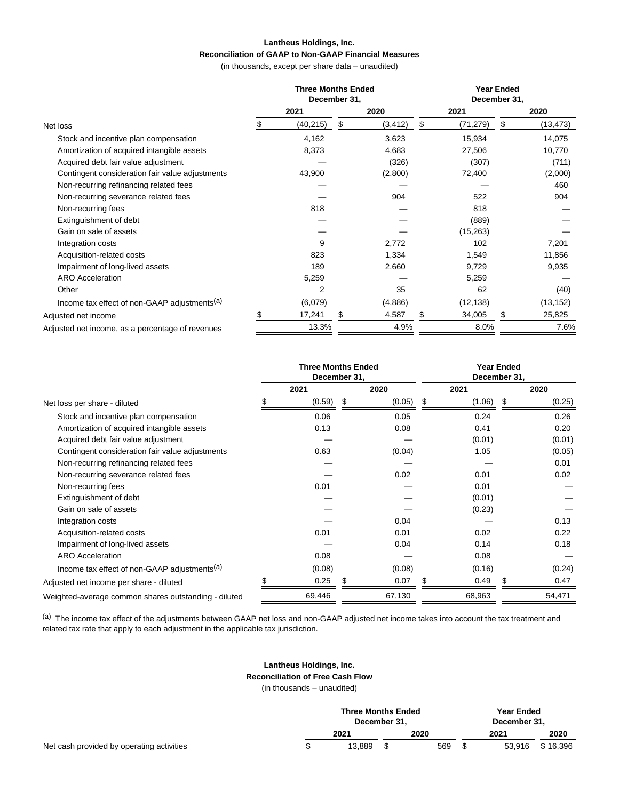# **Lantheus Holdings, Inc. Reconciliation of GAAP to Non-GAAP Financial Measures**

(in thousands, except per share data – unaudited)

|                                                          | <b>Three Months Ended</b><br>December 31, |           |    | <b>Year Ended</b><br>December 31, |              |   |           |  |
|----------------------------------------------------------|-------------------------------------------|-----------|----|-----------------------------------|--------------|---|-----------|--|
|                                                          |                                           | 2021      |    | 2020                              | 2021         |   | 2020      |  |
| Net loss                                                 |                                           | (40, 215) | S  | (3, 412)                          | (71, 279)    |   | (13, 473) |  |
| Stock and incentive plan compensation                    |                                           | 4,162     |    | 3,623                             | 15,934       |   | 14,075    |  |
| Amortization of acquired intangible assets               |                                           | 8,373     |    | 4,683                             | 27,506       |   | 10,770    |  |
| Acquired debt fair value adjustment                      |                                           |           |    | (326)                             | (307)        |   | (711)     |  |
| Contingent consideration fair value adjustments          |                                           | 43,900    |    | (2,800)                           | 72,400       |   | (2,000)   |  |
| Non-recurring refinancing related fees                   |                                           |           |    |                                   |              |   | 460       |  |
| Non-recurring severance related fees                     |                                           |           |    | 904                               | 522          |   | 904       |  |
| Non-recurring fees                                       |                                           | 818       |    |                                   | 818          |   |           |  |
| Extinguishment of debt                                   |                                           |           |    |                                   | (889)        |   |           |  |
| Gain on sale of assets                                   |                                           |           |    |                                   | (15,263)     |   |           |  |
| Integration costs                                        |                                           | 9         |    | 2,772                             | 102          |   | 7,201     |  |
| Acquisition-related costs                                |                                           | 823       |    | 1,334                             | 1,549        |   | 11,856    |  |
| Impairment of long-lived assets                          |                                           | 189       |    | 2,660                             | 9,729        |   | 9,935     |  |
| <b>ARO Acceleration</b>                                  |                                           | 5,259     |    |                                   | 5,259        |   |           |  |
| Other                                                    |                                           | 2         |    | 35                                | 62           |   | (40)      |  |
| Income tax effect of non-GAAP adjustments <sup>(a)</sup> |                                           | (6,079)   |    | (4,886)                           | (12, 138)    |   | (13, 152) |  |
| Adjusted net income                                      |                                           | 17,241    | \$ | 4,587                             | \$<br>34,005 | S | 25,825    |  |
| Adjusted net income, as a percentage of revenues         |                                           | 13.3%     |    | 4.9%                              | 8.0%         |   | 7.6%      |  |

|                                                          | <b>Three Months Ended</b><br>December 31, |        |    |        | <b>Year Ended</b><br>December 31, |        |   |        |  |
|----------------------------------------------------------|-------------------------------------------|--------|----|--------|-----------------------------------|--------|---|--------|--|
|                                                          |                                           | 2021   |    | 2020   |                                   | 2021   |   | 2020   |  |
| Net loss per share - diluted                             |                                           | (0.59) | S  | (0.05) | \$                                | (1.06) | S | (0.25) |  |
| Stock and incentive plan compensation                    |                                           | 0.06   |    | 0.05   |                                   | 0.24   |   | 0.26   |  |
| Amortization of acquired intangible assets               |                                           | 0.13   |    | 0.08   |                                   | 0.41   |   | 0.20   |  |
| Acquired debt fair value adjustment                      |                                           |        |    |        |                                   | (0.01) |   | (0.01) |  |
| Contingent consideration fair value adjustments          |                                           | 0.63   |    | (0.04) |                                   | 1.05   |   | (0.05) |  |
| Non-recurring refinancing related fees                   |                                           |        |    |        |                                   |        |   | 0.01   |  |
| Non-recurring severance related fees                     |                                           |        |    | 0.02   |                                   | 0.01   |   | 0.02   |  |
| Non-recurring fees                                       |                                           | 0.01   |    |        |                                   | 0.01   |   |        |  |
| Extinguishment of debt                                   |                                           |        |    |        |                                   | (0.01) |   |        |  |
| Gain on sale of assets                                   |                                           |        |    |        |                                   | (0.23) |   |        |  |
| Integration costs                                        |                                           |        |    | 0.04   |                                   |        |   | 0.13   |  |
| Acquisition-related costs                                |                                           | 0.01   |    | 0.01   |                                   | 0.02   |   | 0.22   |  |
| Impairment of long-lived assets                          |                                           |        |    | 0.04   |                                   | 0.14   |   | 0.18   |  |
| <b>ARO Acceleration</b>                                  |                                           | 0.08   |    |        |                                   | 0.08   |   |        |  |
| Income tax effect of non-GAAP adjustments <sup>(a)</sup> |                                           | (0.08) |    | (0.08) |                                   | (0.16) |   | (0.24) |  |
| Adjusted net income per share - diluted                  |                                           | 0.25   | \$ | 0.07   | \$                                | 0.49   | S | 0.47   |  |
| Weighted-average common shares outstanding - diluted     |                                           | 69,446 |    | 67,130 |                                   | 68,963 |   | 54,471 |  |

<sup>(a)</sup> The income tax effect of the adjustments between GAAP net loss and non-GAAP adjusted net income takes into account the tax treatment and related tax rate that apply to each adjustment in the applicable tax jurisdiction.

# **Lantheus Holdings, Inc. Reconciliation of Free Cash Flow**

(in thousands – unaudited)

|                                           | <b>Three Months Ended</b><br>December 31. |      | <b>Year Ended</b><br>December 31. |          |  |
|-------------------------------------------|-------------------------------------------|------|-----------------------------------|----------|--|
|                                           | 2021                                      | 2020 | 2021                              | 2020     |  |
| Net cash provided by operating activities | 13.889                                    | 569  | 53.916                            | \$16,396 |  |